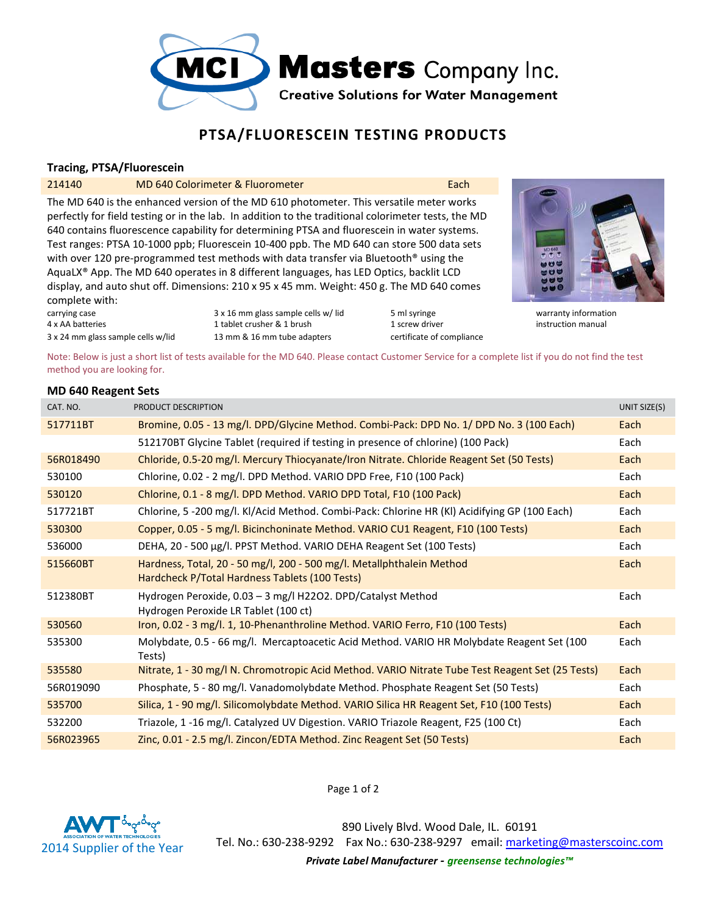

# **PTSA/FLUORESCEIN TESTING PRODUCTS**

## **Tracing, PTSA/Fluorescein**

### 214140 MD 640 Colorimeter & Fluorometer **Each** Each

The MD 640 is the enhanced version of the MD 610 photometer. This versatile meter works perfectly for field testing or in the lab. In addition to the traditional colorimeter tests, the MD 640 contains fluorescence capability for determining PTSA and fluorescein in water systems. Test ranges: PTSA 10-1000 ppb; Fluorescein 10-400 ppb. The MD 640 can store 500 data sets with over 120 pre-programmed test methods with data transfer via Bluetooth<sup>®</sup> using the AquaLX® App. The MD 640 operates in 8 different languages, has LED Optics, backlit LCD display, and auto shut off. Dimensions: 210 x 95 x 45 mm. Weight: 450 g. The MD 640 comes complete with:

4 x AA batteries 1 tablet crusher & 1 brush 1 screw driver instruction manual 1 screw driver instruction manual 3 x 24 mm glass sample cells w/lid 13 mm & 16 mm tube adapters certificate of compliance

carrying case example calls w/ lid 5 ml syringe warranty information states are warranty information



Note: Below is just a short list of tests available for the MD 640. Please contact Customer Service for a complete list if you do not find the test method you are looking for.

#### **MD 640 Reagent Sets**

| CAT. NO.  | PRODUCT DESCRIPTION                                                                                                     | UNIT SIZE(S) |
|-----------|-------------------------------------------------------------------------------------------------------------------------|--------------|
| 517711BT  | Bromine, 0.05 - 13 mg/l. DPD/Glycine Method. Combi-Pack: DPD No. 1/ DPD No. 3 (100 Each)                                | Each         |
|           | 512170BT Glycine Tablet (required if testing in presence of chlorine) (100 Pack)                                        | Each         |
| 56R018490 | Chloride, 0.5-20 mg/l. Mercury Thiocyanate/Iron Nitrate. Chloride Reagent Set (50 Tests)                                | Each         |
| 530100    | Chlorine, 0.02 - 2 mg/l. DPD Method. VARIO DPD Free, F10 (100 Pack)                                                     | Each         |
| 530120    | Chlorine, 0.1 - 8 mg/l. DPD Method. VARIO DPD Total, F10 (100 Pack)                                                     | Each         |
| 517721BT  | Chlorine, 5 -200 mg/l. Kl/Acid Method. Combi-Pack: Chlorine HR (Kl) Acidifying GP (100 Each)                            | Each         |
| 530300    | Copper, 0.05 - 5 mg/l. Bicinchoninate Method. VARIO CU1 Reagent, F10 (100 Tests)                                        | Each         |
| 536000    | DEHA, 20 - 500 µg/l. PPST Method. VARIO DEHA Reagent Set (100 Tests)                                                    | Each         |
| 515660BT  | Hardness, Total, 20 - 50 mg/l, 200 - 500 mg/l. Metallphthalein Method<br>Hardcheck P/Total Hardness Tablets (100 Tests) | Each         |
| 512380BT  | Hydrogen Peroxide, 0.03 - 3 mg/l H22O2. DPD/Catalyst Method<br>Hydrogen Peroxide LR Tablet (100 ct)                     | Each         |
| 530560    | Iron, 0.02 - 3 mg/l. 1, 10-Phenanthroline Method. VARIO Ferro, F10 (100 Tests)                                          | Each         |
| 535300    | Molybdate, 0.5 - 66 mg/l. Mercaptoacetic Acid Method. VARIO HR Molybdate Reagent Set (100<br>Tests)                     | Each         |
| 535580    | Nitrate, 1 - 30 mg/l N. Chromotropic Acid Method. VARIO Nitrate Tube Test Reagent Set (25 Tests)                        | Each         |
| 56R019090 | Phosphate, 5 - 80 mg/l. Vanadomolybdate Method. Phosphate Reagent Set (50 Tests)                                        | Each         |
| 535700    | Silica, 1 - 90 mg/l. Silicomolybdate Method. VARIO Silica HR Reagent Set, F10 (100 Tests)                               | Each         |
| 532200    | Triazole, 1 -16 mg/l. Catalyzed UV Digestion. VARIO Triazole Reagent, F25 (100 Ct)                                      | Each         |
| 56R023965 | Zinc, 0.01 - 2.5 mg/l. Zincon/EDTA Method. Zinc Reagent Set (50 Tests)                                                  | Each         |



Page 1 of 2

890 Lively Blvd. Wood Dale, IL. 60191 Tel. No.: 630-238-9292 Fax No.: 630-238-9297 email: marketing@masterscoinc.com *Private Label Manufacturer - greensense technologies™*